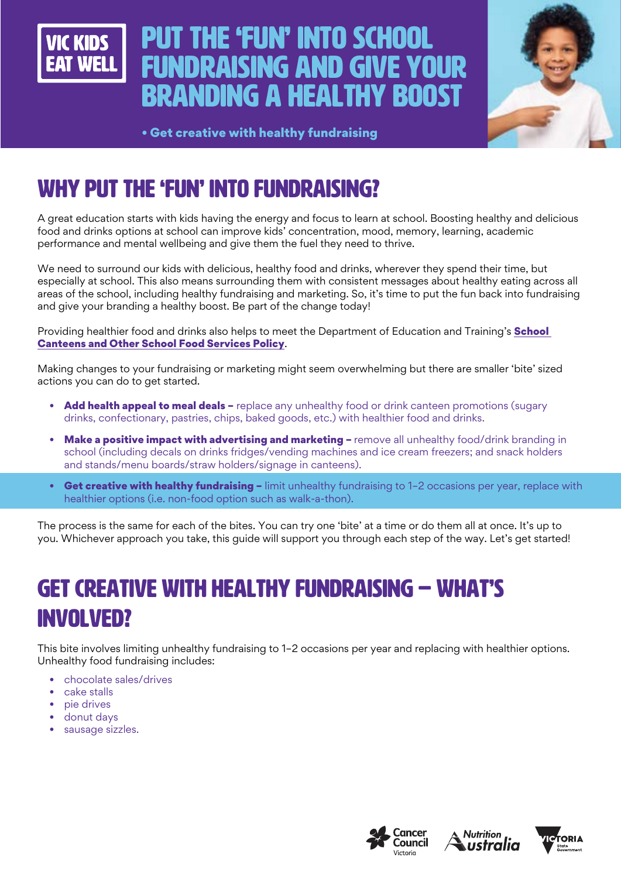

# UT THE 'FUN' INTO SCHOOL **INDRAISING AND GIVE YO** branding a healthy boost



• Get creative with healthy fundraising

# WHY PUT THE 'FUN' INTO FUNDRAISING?

A great education starts with kids having the energy and focus to learn at school. Boosting healthy and delicious food and drinks options at school can improve kids' concentration, mood, memory, learning, academic performance and mental wellbeing and give them the fuel they need to thrive.

We need to surround our kids with delicious, healthy food and drinks, wherever they spend their time, but especially at school. This also means surrounding them with consistent messages about healthy eating across all areas of the school, including healthy fundraising and marketing. So, it's time to put the fun back into fundraising and give your branding a healthy boost. Be part of the change today!

Providing healthier food and drinks also helps to meet the Department of Education and Training's **School** [Canteens and Other School Food Services Policy](https://www2.education.vic.gov.au/pal/canteens-and-healthy-eating/policy).

Making changes to your fundraising or marketing might seem overwhelming but there are smaller 'bite' sized actions you can do to get started.

- Add health appeal to meal deals replace any unhealthy food or drink canteen promotions (sugary drinks, confectionary, pastries, chips, baked goods, etc.) with healthier food and drinks.
- Make a positive impact with advertising and marketing remove all unhealthy food/drink branding in school (including decals on drinks fridges/vending machines and ice cream freezers; and snack holders and stands/menu boards/straw holders/signage in canteens).
- Get creative with healthy fundraising limit unhealthy fundraising to 1-2 occasions per year, replace with healthier options (i.e. non-food option such as walk-a-thon).

The process is the same for each of the bites. You can try one 'bite' at a time or do them all at once. It's up to you. Whichever approach you take, this guide will support you through each step of the way. Let's get started!

# GET CREATIVE WITH HEALTHY FUNDRAISING – WHAT'S INVOLVED?

This bite involves limiting unhealthy fundraising to 1–2 occasions per year and replacing with healthier options. Unhealthy food fundraising includes:

- chocolate sales/drives
- cake stalls
- pie drives
- donut days
- sausage sizzles.





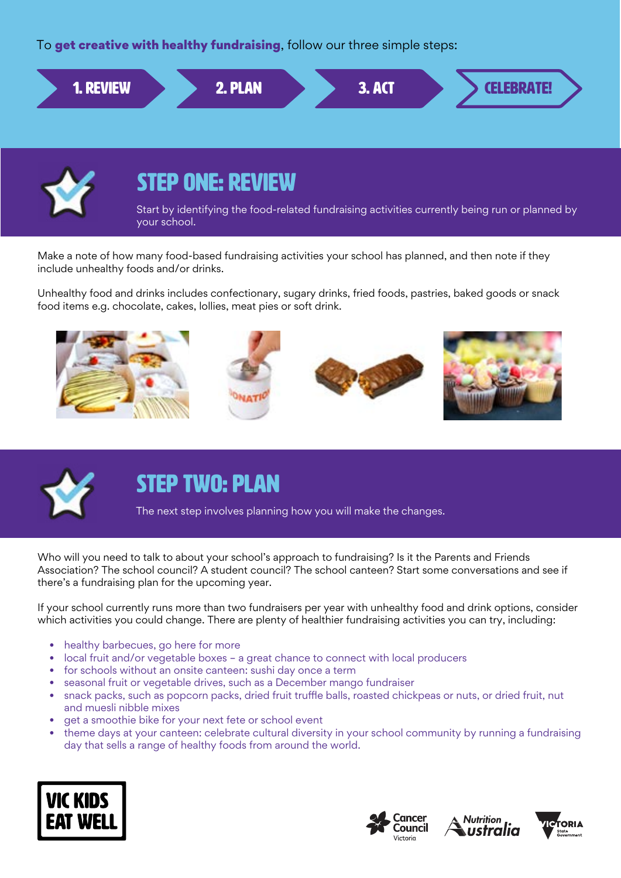To get creative with healthy fundraising, follow our three simple steps:





## STEP ONE: REVIEW

Start by identifying the food-related fundraising activities currently being run or planned by your school.

Make a note of how many food-based fundraising activities your school has planned, and then note if they include unhealthy foods and/or drinks.

Unhealthy food and drinks includes confectionary, sugary drinks, fried foods, pastries, baked goods or snack food items e.g. chocolate, cakes, lollies, meat pies or soft drink.





### STEP TWO: PLAN

The next step involves planning how you will make the changes.

Who will you need to talk to about your school's approach to fundraising? Is it the Parents and Friends Association? The school council? A student council? The school canteen? Start some conversations and see if there's a fundraising plan for the upcoming year.

If your school currently runs more than two fundraisers per year with unhealthy food and drink options, consider which activities you could change. There are plenty of healthier fundraising activities you can try, including:

- healthy barbecues, go here for more
- local fruit and/or vegetable boxes a great chance to connect with local producers
- for schools without an onsite canteen: sushi day once a term
- seasonal fruit or vegetable drives, such as a December mango fundraiser
- snack packs, such as popcorn packs, dried fruit truffle balls, roasted chickpeas or nuts, or dried fruit, nut and muesli nibble mixes
- get a smoothie bike for your next fete or school event
- theme days at your canteen: celebrate cultural diversity in your school community by running a fundraising day that sells a range of healthy foods from around the world.







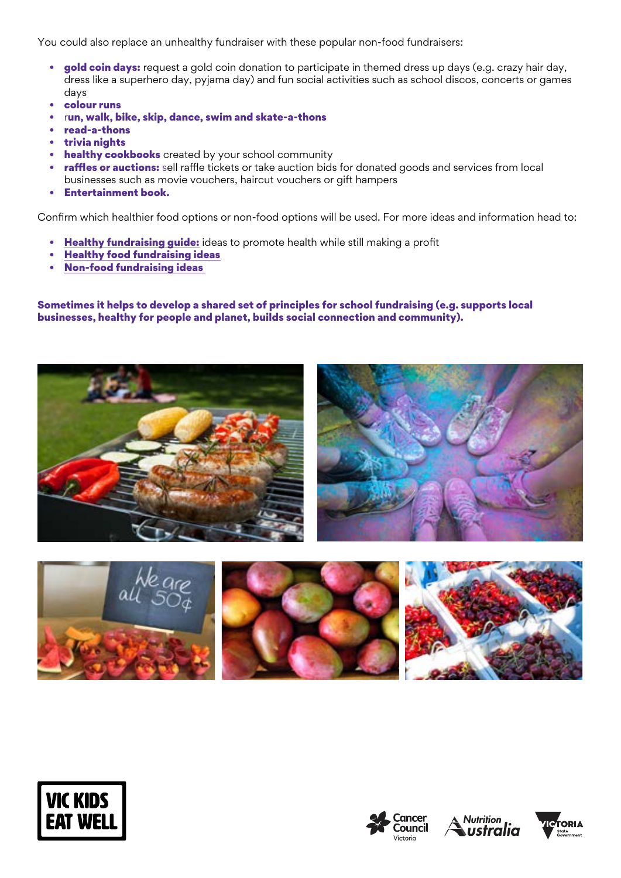You could also replace an unhealthy fundraiser with these popular non-food fundraisers:

- gold coin days: request a gold coin donation to participate in themed dress up days (e.g. crazy hair day, dress like a superhero day, pyjama day) and fun social activities such as school discos, concerts or games days
- colour runs
- run, walk, bike, skip, dance, swim and skate-a-thons
- read-a-thons
- trivia nights
- healthy cookbooks created by your school community
- raffles or auctions: sell raffle tickets or take auction bids for donated goods and services from local businesses such as movie vouchers, haircut vouchers or gift hampers
- Entertainment book.

Confirm which healthier food options or non-food options will be used. For more ideas and information head to:

- **[Healthy fundraising guide:](https://www.cancercouncil.com.au/wp-content/uploads/2010/11/09271_CAN3042_HealthyFundraising_FINAL.pdf-low-res-for-web.pdf)** ideas to promote health while still making a profit
- [Healthy food fundraising ideas](http://heas.health.vic.gov.au/schools/promoting-healthy-foods-and-drinks/healthy-fundraising-ideas)
- [Non-food fundraising ideas](http://heas.health.vic.gov.au/schools/promoting-healthy-foods-and-drinks/non-food-fundraising-ideas)

Sometimes it helps to develop a shared set of principles for school fundraising (e.g. supports local businesses, healthy for people and planet, builds social connection and community).











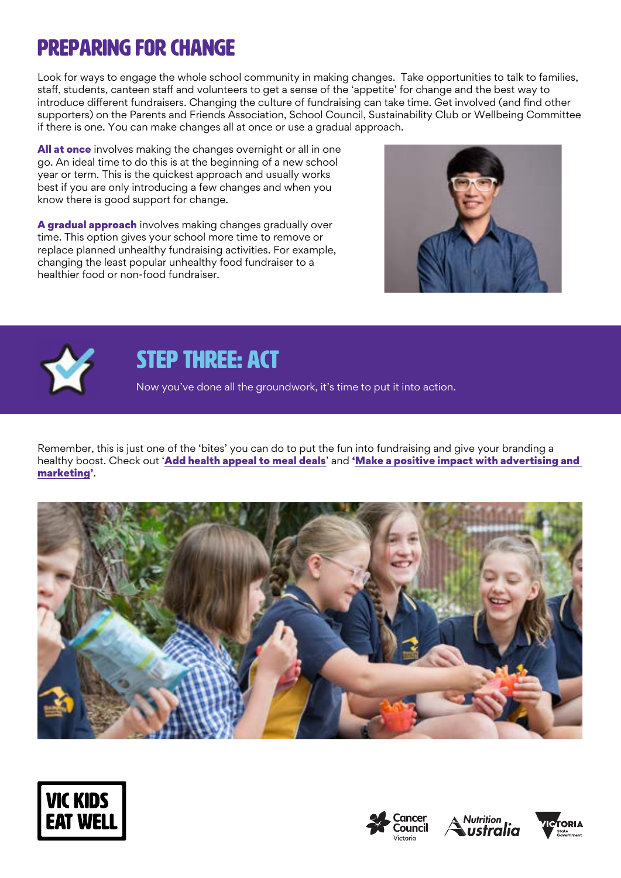## Preparing for change

Look for ways to engage the whole school community in making changes. Take opportunities to talk to families, staff, students, canteen staff and volunteers to get a sense of the 'appetite' for change and the best way to introduce different fundraisers. Changing the culture of fundraising can take time. Get involved (and find other supporters) on the Parents and Friends Association, School Council, Sustainability Club or Wellbeing Committee if there is one. You can make changes all at once or use a gradual approach.

All at once involves making the changes overnight or all in one go. An ideal time to do this is at the beginning of a new school year or term. This is the quickest approach and usually works best if you are only introducing a few changes and when you know there is good support for change.

A gradual approach involves making changes gradually over time. This option gives your school more time to remove or replace planned unhealthy fundraising activities. For example, changing the least popular unhealthy food fundraiser to a healthier food or non-food fundraiser.





### STEP THREE: ACT

Now you've done all the groundwork, it's time to put it into action.

Remember, this is just one of the 'bites' you can do to put the fun into fundraising and give your branding a healthy boost. Check out '[Add health appeal to meal deals](https://www.vickidseatwell.health.vic.gov.au/resources)' and 'Make a positive impact with advertising and [marketing'](https://www.vickidseatwell.health.vic.gov.au/resources).